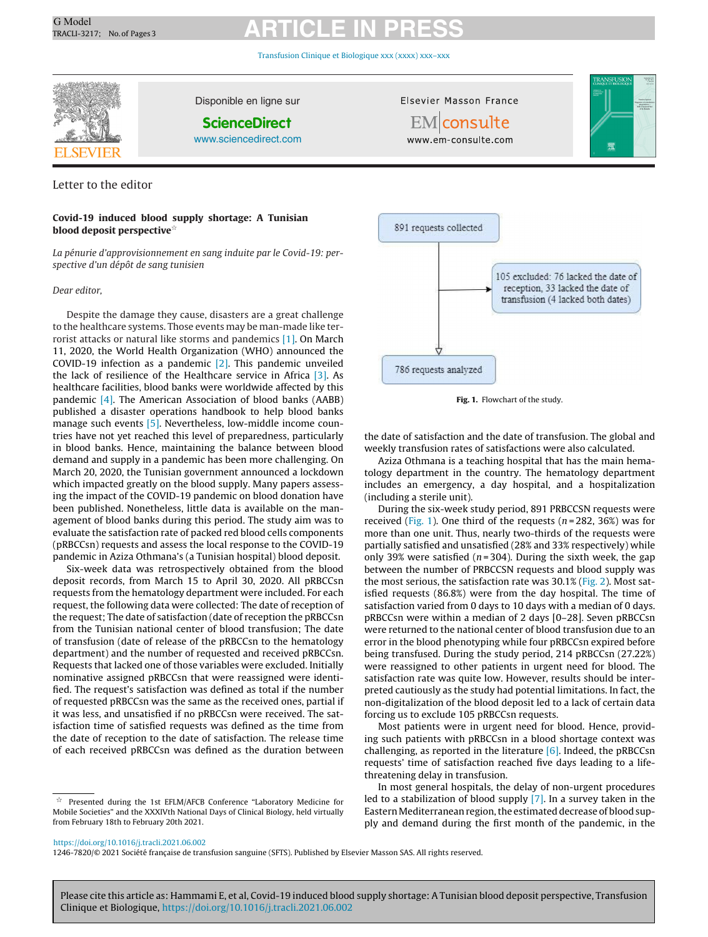# G Model G Model **ARTICLE IN PRESS**

[Transfusion](https://doi.org/10.1016/j.tracli.2021.06.002) Clinique et Biologique xxx (xxxx) xxx–xxx



Disponible en ligne sur

**ScienceDirect**

[www.sciencedirect.com](http://www.sciencedirect.com/science/journal/12467820)

Letter to the editor

### **Covid-19 induced blood supply shortage: A Tunisian blood deposit perspective**-

La pénurie d'approvisionnement en sang induite par le Covid-19: perspective d'un dépôt de sang tunisien

#### Dear editor,

Despite the damage they cause, disasters are a great challenge to the healthcare systems. Those events may be man-made like terrorist attacks or natural like storms and pandemics [\[1\].](#page-1-0) On March 11, 2020, the World Health Organization (WHO) announced the COVID-19 infection as a pandemic  $[2]$ . This pandemic unveiled the lack of resilience of the Healthcare service in Africa [\[3\].](#page-1-0) As healthcare facilities, blood banks were worldwide affected by this pandemic [\[4\].](#page-1-0) The American Association of blood banks (AABB) published a disaster operations handbook to help blood banks manage such events [\[5\].](#page-1-0) Nevertheless, low-middle income countries have not yet reached this level of preparedness, particularly in blood banks. Hence, maintaining the balance between blood demand and supply in a pandemic has been more challenging. On March 20, 2020, the Tunisian government announced a lockdown which impacted greatly on the blood supply. Many papers assessing the impact of the COVID-19 pandemic on blood donation have been published. Nonetheless, little data is available on the management of blood banks during this period. The study aim was to evaluate the satisfaction rate of packed red blood cells components (pRBCCsn) requests and assess the local response to the COVID-19 pandemic in Aziza Othmana's (a Tunisian hospital) blood deposit.

Six-week data was retrospectively obtained from the blood deposit records, from March 15 to April 30, 2020. All pRBCCsn requests from the hematology department were included. For each request, the following data were collected: The date of reception of the request; The date of satisfaction (date of reception the pRBCCsn from the Tunisian national center of blood transfusion; The date of transfusion (date of release of the pRBCCsn to the hematology department) and the number of requested and received pRBCCsn. Requests that lacked one of those variables were excluded. Initially nominative assigned pRBCCsn that were reassigned were identified. The request's satisfaction was defined as total if the number of requested pRBCCsn was the same as the received ones, partial if it was less, and unsatisfied if no pRBCCsn were received. The satisfaction time of satisfied requests was defined as the time from the date of reception to the date of satisfaction. The release time of each received pRBCCsn was defined as the duration between

891 requests collected 105 excluded: 76 lacked the date of reception, 33 lacked the date of transfusion (4 lacked both dates) 786 requests analyzed

Elsevier Masson France EMconsulte www.em-consulte.com

**Fig. 1.** Flowchart of the study.

the date of satisfaction and the date of transfusion. The global and weekly transfusion rates of satisfactions were also calculated.

Aziza Othmana is a teaching hospital that has the main hematology department in the country. The hematology department includes an emergency, a day hospital, and a hospitalization (including a sterile unit).

During the six-week study period, 891 PRBCCSN requests were received (Fig. 1). One third of the requests ( $n = 282, 36\%$ ) was for more than one unit. Thus, nearly two-thirds of the requests were partially satisfied and unsatisfied (28% and 33% respectively) while only 39% were satisfied ( $n = 304$ ). During the sixth week, the gap between the number of PRBCCSN requests and blood supply was the most serious, the satisfaction rate was 30.1% [\(Fig.](#page-1-0) 2). Most satisfied requests (86.8%) were from the day hospital. The time of satisfaction varied from 0 days to 10 days with a median of 0 days. pRBCCsn were within a median of 2 days [0–28]. Seven pRBCCsn were returned to the national center of blood transfusion due to an error in the blood phenotyping while four pRBCCsn expired before being transfused. During the study period, 214 pRBCCsn (27.22%) were reassigned to other patients in urgent need for blood. The satisfaction rate was quite low. However, results should be interpreted cautiously as the study had potential limitations. In fact, the non-digitalization of the blood deposit led to a lack of certain data forcing us to exclude 105 pRBCCsn requests.

Most patients were in urgent need for blood. Hence, providing such patients with pRBCCsn in a blood shortage context was challenging, as reported in the literature  $[6]$ . Indeed, the pRBCCsn requests' time of satisfaction reached five days leading to a lifethreatening delay in transfusion.

In most general hospitals, the delay of non-urgent procedures led to a stabilization of blood supply [\[7\].](#page-1-0) In a survey taken in the Eastern Mediterranean region, the estimated decrease of blood supply and demand during the first month of the pandemic, in the



1246-7820/© 2021 Société française de transfusion sanguine (SFTS). Published by Elsevier Masson SAS. All rights reserved.

Please cite this article as: Hammami E, et al, Covid-19 induced blood supply shortage: A Tunisian blood deposit perspective, Transfusion Clinique et Biologique, <https://doi.org/10.1016/j.tracli.2021.06.002>

A Presented during the 1st EFLM/AFCB Conference "Laboratory Medicine for Mobile Societies" and the XXXIVth National Days of Clinical Biology, held virtually from February 18th to February 20th 2021.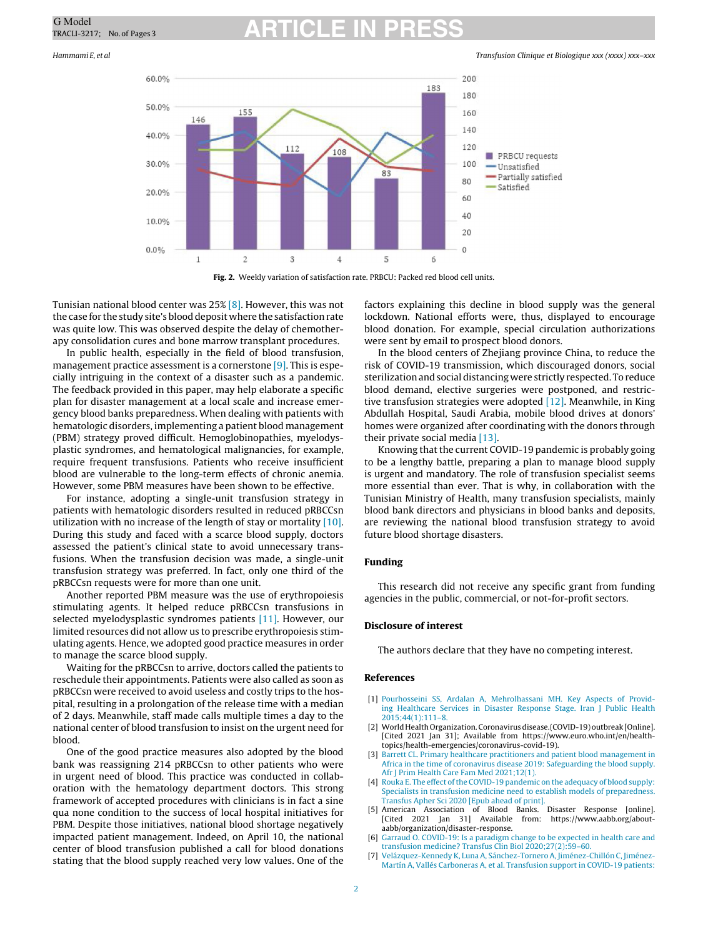# <span id="page-1-0"></span>G Model<br>TRACLI-3217; No. of Pages 3 **ARTICLE IN PRESS**

Hammami E, et al Transfusion Clinique et Biologique xxx (xxxx) xxx–xxx



**Fig. 2.** Weekly variation of satisfaction rate. PRBCU: Packed red blood cell units.

Tunisian national blood center was 25% [\[8\].](#page-2-0) However, this was not the case for the study site's blood deposit where the satisfactionrate was quite low. This was observed despite the delay of chemotherapy consolidation cures and bone marrow transplant procedures.

In public health, especially in the field of blood transfusion, management practice assessment is a cornerstone [\[9\].](#page-2-0) This is especially intriguing in the context of a disaster such as a pandemic. The feedback provided in this paper, may help elaborate a specific plan for disaster management at a local scale and increase emergency blood banks preparedness. When dealing with patients with hematologic disorders, implementing a patient blood management (PBM) strategy proved difficult. Hemoglobinopathies, myelodysplastic syndromes, and hematological malignancies, for example, require frequent transfusions. Patients who receive insufficient blood are vulnerable to the long-term effects of chronic anemia. However, some PBM measures have been shown to be effective.

For instance, adopting a single-unit transfusion strategy in patients with hematologic disorders resulted in reduced pRBCCsn utilization with no increase of the length of stay or mortality [\[10\].](#page-2-0) During this study and faced with a scarce blood supply, doctors assessed the patient's clinical state to avoid unnecessary transfusions. When the transfusion decision was made, a single-unit transfusion strategy was preferred. In fact, only one third of the pRBCCsn requests were for more than one unit.

Another reported PBM measure was the use of erythropoiesis stimulating agents. It helped reduce pRBCCsn transfusions in selected myelodysplastic syndromes patients [\[11\].](#page-2-0) However, our limited resources did not allow us to prescribe erythropoiesis stimulating agents. Hence, we adopted good practice measures in order to manage the scarce blood supply.

Waiting for the pRBCCsn to arrive, doctors called the patients to reschedule their appointments. Patients were also called as soon as pRBCCsn were received to avoid useless and costly trips to the hospital, resulting in a prolongation of the release time with a median of 2 days. Meanwhile, staff made calls multiple times a day to the national center of blood transfusion to insist on the urgent need for blood.

One of the good practice measures also adopted by the blood bank was reassigning 214 pRBCCsn to other patients who were in urgent need of blood. This practice was conducted in collaboration with the hematology department doctors. This strong framework of accepted procedures with clinicians is in fact a sine qua none condition to the success of local hospital initiatives for PBM. Despite those initiatives, national blood shortage negatively impacted patient management. Indeed, on April 10, the national center of blood transfusion published a call for blood donations stating that the blood supply reached very low values. One of the

factors explaining this decline in blood supply was the general lockdown. National efforts were, thus, displayed to encourage blood donation. For example, special circulation authorizations were sent by email to prospect blood donors.

In the blood centers of Zhejiang province China, to reduce the risk of COVID-19 transmission, which discouraged donors, social sterilizationand social distancing were strictly respected. To reduce blood demand, elective surgeries were postponed, and restrictive transfusion strategies were adopted [\[12\].](#page-2-0) Meanwhile, in King Abdullah Hospital, Saudi Arabia, mobile blood drives at donors' homes were organized after coordinating with the donors through their private social media [\[13\].](#page-2-0)

Knowing that the current COVID-19 pandemic is probably going to be a lengthy battle, preparing a plan to manage blood supply is urgent and mandatory. The role of transfusion specialist seems more essential than ever. That is why, in collaboration with the Tunisian Ministry of Health, many transfusion specialists, mainly blood bank directors and physicians in blood banks and deposits, are reviewing the national blood transfusion strategy to avoid future blood shortage disasters.

### **Funding**

This research did not receive any specific grant from funding agencies in the public, commercial, or not-for-profit sectors.

### **Disclosure of interest**

The authors declare that they have no competing interest.

### **References**

- [1] [Pourhosseini](http://refhub.elsevier.com/S1246-7820(21)00084-7/sbref0070) [SS,](http://refhub.elsevier.com/S1246-7820(21)00084-7/sbref0070) [Ardalan](http://refhub.elsevier.com/S1246-7820(21)00084-7/sbref0070) [A,](http://refhub.elsevier.com/S1246-7820(21)00084-7/sbref0070) [Mehrolhassani](http://refhub.elsevier.com/S1246-7820(21)00084-7/sbref0070) [MH.](http://refhub.elsevier.com/S1246-7820(21)00084-7/sbref0070) [Key](http://refhub.elsevier.com/S1246-7820(21)00084-7/sbref0070) [Aspects](http://refhub.elsevier.com/S1246-7820(21)00084-7/sbref0070) [of](http://refhub.elsevier.com/S1246-7820(21)00084-7/sbref0070) [Provid](http://refhub.elsevier.com/S1246-7820(21)00084-7/sbref0070)[ing](http://refhub.elsevier.com/S1246-7820(21)00084-7/sbref0070) [Healthcare](http://refhub.elsevier.com/S1246-7820(21)00084-7/sbref0070) [Services](http://refhub.elsevier.com/S1246-7820(21)00084-7/sbref0070) [in](http://refhub.elsevier.com/S1246-7820(21)00084-7/sbref0070) [Disaster](http://refhub.elsevier.com/S1246-7820(21)00084-7/sbref0070) [Response](http://refhub.elsevier.com/S1246-7820(21)00084-7/sbref0070) [Stage.](http://refhub.elsevier.com/S1246-7820(21)00084-7/sbref0070) [Iran](http://refhub.elsevier.com/S1246-7820(21)00084-7/sbref0070) [J](http://refhub.elsevier.com/S1246-7820(21)00084-7/sbref0070) [Public](http://refhub.elsevier.com/S1246-7820(21)00084-7/sbref0070) [Health](http://refhub.elsevier.com/S1246-7820(21)00084-7/sbref0070)  $2015:44(1):111-8$
- [2] World Health Organization. Coronavirus disease.(COVID-19) outbreak [Online]. [Cited 2021 Jan 31]; Available from https://www.euro.who.int/en/healthtopics/health-emergencies/coronavirus-covid-19).
- [3] [Barrett](http://refhub.elsevier.com/S1246-7820(21)00084-7/sbref0080) [CL.](http://refhub.elsevier.com/S1246-7820(21)00084-7/sbref0080) [Primary](http://refhub.elsevier.com/S1246-7820(21)00084-7/sbref0080) [healthcare](http://refhub.elsevier.com/S1246-7820(21)00084-7/sbref0080) [practitioners](http://refhub.elsevier.com/S1246-7820(21)00084-7/sbref0080) [and](http://refhub.elsevier.com/S1246-7820(21)00084-7/sbref0080) [patient](http://refhub.elsevier.com/S1246-7820(21)00084-7/sbref0080) [blood](http://refhub.elsevier.com/S1246-7820(21)00084-7/sbref0080) [management](http://refhub.elsevier.com/S1246-7820(21)00084-7/sbref0080) [in](http://refhub.elsevier.com/S1246-7820(21)00084-7/sbref0080) [Africa](http://refhub.elsevier.com/S1246-7820(21)00084-7/sbref0080) [in](http://refhub.elsevier.com/S1246-7820(21)00084-7/sbref0080) [the](http://refhub.elsevier.com/S1246-7820(21)00084-7/sbref0080) [time](http://refhub.elsevier.com/S1246-7820(21)00084-7/sbref0080) [of](http://refhub.elsevier.com/S1246-7820(21)00084-7/sbref0080) [coronavirus](http://refhub.elsevier.com/S1246-7820(21)00084-7/sbref0080) [disease](http://refhub.elsevier.com/S1246-7820(21)00084-7/sbref0080) [2019:](http://refhub.elsevier.com/S1246-7820(21)00084-7/sbref0080) [Safeguarding](http://refhub.elsevier.com/S1246-7820(21)00084-7/sbref0080) [the](http://refhub.elsevier.com/S1246-7820(21)00084-7/sbref0080) [blood](http://refhub.elsevier.com/S1246-7820(21)00084-7/sbref0080) [supply.](http://refhub.elsevier.com/S1246-7820(21)00084-7/sbref0080) [Afr](http://refhub.elsevier.com/S1246-7820(21)00084-7/sbref0080) [J](http://refhub.elsevier.com/S1246-7820(21)00084-7/sbref0080) [Prim](http://refhub.elsevier.com/S1246-7820(21)00084-7/sbref0080) [Health](http://refhub.elsevier.com/S1246-7820(21)00084-7/sbref0080) [Care](http://refhub.elsevier.com/S1246-7820(21)00084-7/sbref0080) [Fam](http://refhub.elsevier.com/S1246-7820(21)00084-7/sbref0080) [Med](http://refhub.elsevier.com/S1246-7820(21)00084-7/sbref0080) [2021;12\(1\).](http://refhub.elsevier.com/S1246-7820(21)00084-7/sbref0080)
- [4] [Rouka](http://refhub.elsevier.com/S1246-7820(21)00084-7/sbref0085) [E.](http://refhub.elsevier.com/S1246-7820(21)00084-7/sbref0085) [The](http://refhub.elsevier.com/S1246-7820(21)00084-7/sbref0085) [effect](http://refhub.elsevier.com/S1246-7820(21)00084-7/sbref0085) of the [COVID-19](http://refhub.elsevier.com/S1246-7820(21)00084-7/sbref0085) [pandemic](http://refhub.elsevier.com/S1246-7820(21)00084-7/sbref0085) [on](http://refhub.elsevier.com/S1246-7820(21)00084-7/sbref0085) [the](http://refhub.elsevier.com/S1246-7820(21)00084-7/sbref0085) [adequacy](http://refhub.elsevier.com/S1246-7820(21)00084-7/sbref0085) [of](http://refhub.elsevier.com/S1246-7820(21)00084-7/sbref0085) [blood](http://refhub.elsevier.com/S1246-7820(21)00084-7/sbref0085) [supply:](http://refhub.elsevier.com/S1246-7820(21)00084-7/sbref0085) [Specialists](http://refhub.elsevier.com/S1246-7820(21)00084-7/sbref0085) [in](http://refhub.elsevier.com/S1246-7820(21)00084-7/sbref0085) [transfusion](http://refhub.elsevier.com/S1246-7820(21)00084-7/sbref0085) [medicine](http://refhub.elsevier.com/S1246-7820(21)00084-7/sbref0085) [need](http://refhub.elsevier.com/S1246-7820(21)00084-7/sbref0085) [to](http://refhub.elsevier.com/S1246-7820(21)00084-7/sbref0085) [establish](http://refhub.elsevier.com/S1246-7820(21)00084-7/sbref0085) [models](http://refhub.elsevier.com/S1246-7820(21)00084-7/sbref0085) [of](http://refhub.elsevier.com/S1246-7820(21)00084-7/sbref0085) [preparedness.](http://refhub.elsevier.com/S1246-7820(21)00084-7/sbref0085) [Transfus](http://refhub.elsevier.com/S1246-7820(21)00084-7/sbref0085) [Apher](http://refhub.elsevier.com/S1246-7820(21)00084-7/sbref0085) [Sci](http://refhub.elsevier.com/S1246-7820(21)00084-7/sbref0085) [2020](http://refhub.elsevier.com/S1246-7820(21)00084-7/sbref0085) [\[Epub](http://refhub.elsevier.com/S1246-7820(21)00084-7/sbref0085) [ahead](http://refhub.elsevier.com/S1246-7820(21)00084-7/sbref0085) [of](http://refhub.elsevier.com/S1246-7820(21)00084-7/sbref0085) [print\].](http://refhub.elsevier.com/S1246-7820(21)00084-7/sbref0085)
- [5] American Association of Blood Banks. Disaster Response [online]. [Cited 2021 Jan 31] Available from: https://www.aabb.org/aboutaabb/organization/disaster-response.
- [6] [Garraud](http://refhub.elsevier.com/S1246-7820(21)00084-7/sbref0095) [O.](http://refhub.elsevier.com/S1246-7820(21)00084-7/sbref0095) [COVID-19:](http://refhub.elsevier.com/S1246-7820(21)00084-7/sbref0095) [Is](http://refhub.elsevier.com/S1246-7820(21)00084-7/sbref0095) [a](http://refhub.elsevier.com/S1246-7820(21)00084-7/sbref0095) [paradigm](http://refhub.elsevier.com/S1246-7820(21)00084-7/sbref0095) [change](http://refhub.elsevier.com/S1246-7820(21)00084-7/sbref0095) [to](http://refhub.elsevier.com/S1246-7820(21)00084-7/sbref0095) [be](http://refhub.elsevier.com/S1246-7820(21)00084-7/sbref0095) [expected](http://refhub.elsevier.com/S1246-7820(21)00084-7/sbref0095) [in](http://refhub.elsevier.com/S1246-7820(21)00084-7/sbref0095) [health](http://refhub.elsevier.com/S1246-7820(21)00084-7/sbref0095) [care](http://refhub.elsevier.com/S1246-7820(21)00084-7/sbref0095) [and](http://refhub.elsevier.com/S1246-7820(21)00084-7/sbref0095) [transfusion](http://refhub.elsevier.com/S1246-7820(21)00084-7/sbref0095) [medicine?](http://refhub.elsevier.com/S1246-7820(21)00084-7/sbref0095) [Transfus](http://refhub.elsevier.com/S1246-7820(21)00084-7/sbref0095) [Clin](http://refhub.elsevier.com/S1246-7820(21)00084-7/sbref0095) [Biol](http://refhub.elsevier.com/S1246-7820(21)00084-7/sbref0095) [2020;27\(2\):59](http://refhub.elsevier.com/S1246-7820(21)00084-7/sbref0095)–[60.](http://refhub.elsevier.com/S1246-7820(21)00084-7/sbref0095)
- [7] [Velázquez-Kennedy](http://refhub.elsevier.com/S1246-7820(21)00084-7/sbref0100) [K,](http://refhub.elsevier.com/S1246-7820(21)00084-7/sbref0100) [Luna](http://refhub.elsevier.com/S1246-7820(21)00084-7/sbref0100) [A,](http://refhub.elsevier.com/S1246-7820(21)00084-7/sbref0100) [Sánchez-Tornero](http://refhub.elsevier.com/S1246-7820(21)00084-7/sbref0100) [A,](http://refhub.elsevier.com/S1246-7820(21)00084-7/sbref0100) [Jiménez-Chillón](http://refhub.elsevier.com/S1246-7820(21)00084-7/sbref0100) [C,](http://refhub.elsevier.com/S1246-7820(21)00084-7/sbref0100) [Jiménez-](http://refhub.elsevier.com/S1246-7820(21)00084-7/sbref0100)[Martín](http://refhub.elsevier.com/S1246-7820(21)00084-7/sbref0100) [A,](http://refhub.elsevier.com/S1246-7820(21)00084-7/sbref0100) [Vallés](http://refhub.elsevier.com/S1246-7820(21)00084-7/sbref0100) [Carboneras](http://refhub.elsevier.com/S1246-7820(21)00084-7/sbref0100) [A,](http://refhub.elsevier.com/S1246-7820(21)00084-7/sbref0100) [et](http://refhub.elsevier.com/S1246-7820(21)00084-7/sbref0100) [al.](http://refhub.elsevier.com/S1246-7820(21)00084-7/sbref0100) [Transfusion](http://refhub.elsevier.com/S1246-7820(21)00084-7/sbref0100) [support](http://refhub.elsevier.com/S1246-7820(21)00084-7/sbref0100) [in](http://refhub.elsevier.com/S1246-7820(21)00084-7/sbref0100) [COVID-19](http://refhub.elsevier.com/S1246-7820(21)00084-7/sbref0100) [patients:](http://refhub.elsevier.com/S1246-7820(21)00084-7/sbref0100)